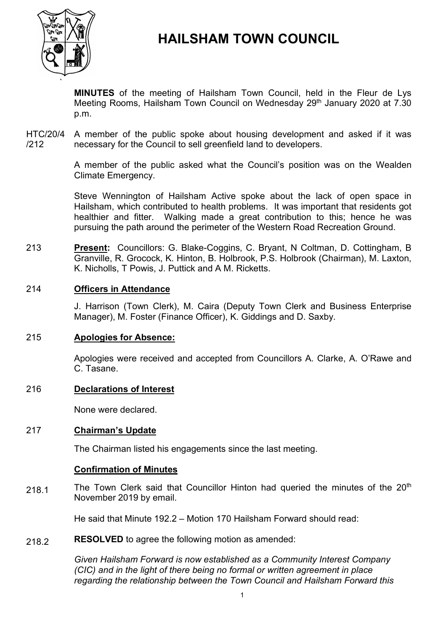

# **HAILSHAM TOWN COUNCIL**

**MINUTES** of the meeting of Hailsham Town Council, held in the Fleur de Lys Meeting Rooms, Hailsham Town Council on Wednesday 29<sup>th</sup> January 2020 at 7.30 p.m.

HTC/20/4 /212 A member of the public spoke about housing development and asked if it was necessary for the Council to sell greenfield land to developers.

> A member of the public asked what the Council's position was on the Wealden Climate Emergency.

> Steve Wennington of Hailsham Active spoke about the lack of open space in Hailsham, which contributed to health problems. It was important that residents got healthier and fitter. Walking made a great contribution to this; hence he was pursuing the path around the perimeter of the Western Road Recreation Ground.

213 **Present:** Councillors: G. Blake-Coggins, C. Bryant, N Coltman, D. Cottingham, B Granville, R. Grocock, K. Hinton, B. Holbrook, P.S. Holbrook (Chairman), M. Laxton, K. Nicholls, T Powis, J. Puttick and A M. Ricketts.

# 214 **Officers in Attendance**

J. Harrison (Town Clerk), M. Caira (Deputy Town Clerk and Business Enterprise Manager), M. Foster (Finance Officer), K. Giddings and D. Saxby.

# 215 **Apologies for Absence:**

Apologies were received and accepted from Councillors A. Clarke, A. O'Rawe and C. Tasane.

# 216 **Declarations of Interest**

None were declared.

# 217 **Chairman's Update**

The Chairman listed his engagements since the last meeting.

# **Confirmation of Minutes**

218.1 The Town Clerk said that Councillor Hinton had queried the minutes of the 20<sup>th</sup> November 2019 by email.

He said that Minute 192.2 – Motion 170 Hailsham Forward should read:

218.2 **RESOLVED** to agree the following motion as amended:

> *Given Hailsham Forward is now established as a Community Interest Company (CIC) and in the light of there being no formal or written agreement in place regarding the relationship between the Town Council and Hailsham Forward this*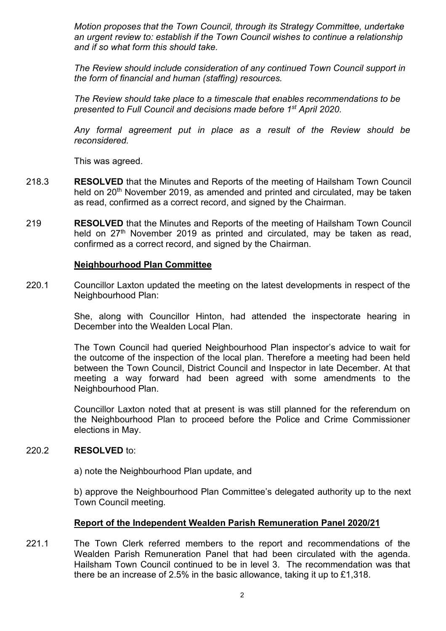*Motion proposes that the Town Council, through its Strategy Committee, undertake an urgent review to: establish if the Town Council wishes to continue a relationship and if so what form this should take.*

*The Review should include consideration of any continued Town Council support in the form of financial and human (staffing) resources.*

*The Review should take place to a timescale that enables recommendations to be presented to Full Council and decisions made before 1st April 2020.* 

*Any formal agreement put in place as a result of the Review should be reconsidered.*

This was agreed.

- 218.3 **RESOLVED** that the Minutes and Reports of the meeting of Hailsham Town Council held on 20<sup>th</sup> November 2019, as amended and printed and circulated, may be taken as read, confirmed as a correct record, and signed by the Chairman.
- 219 **RESOLVED** that the Minutes and Reports of the meeting of Hailsham Town Council held on 27<sup>th</sup> November 2019 as printed and circulated, may be taken as read, confirmed as a correct record, and signed by the Chairman.

### **Neighbourhood Plan Committee**

220.1 Councillor Laxton updated the meeting on the latest developments in respect of the Neighbourhood Plan:

> She, along with Councillor Hinton, had attended the inspectorate hearing in December into the Wealden Local Plan.

> The Town Council had queried Neighbourhood Plan inspector's advice to wait for the outcome of the inspection of the local plan. Therefore a meeting had been held between the Town Council, District Council and Inspector in late December. At that meeting a way forward had been agreed with some amendments to the Neighbourhood Plan.

> Councillor Laxton noted that at present is was still planned for the referendum on the Neighbourhood Plan to proceed before the Police and Crime Commissioner elections in May.

#### 220.2 **RESOLVED** to:

a) note the Neighbourhood Plan update, and

b) approve the Neighbourhood Plan Committee's delegated authority up to the next Town Council meeting.

# **Report of the Independent Wealden Parish Remuneration Panel 2020/21**

221.1 The Town Clerk referred members to the report and recommendations of the Wealden Parish Remuneration Panel that had been circulated with the agenda. Hailsham Town Council continued to be in level 3. The recommendation was that there be an increase of 2.5% in the basic allowance, taking it up to £1,318.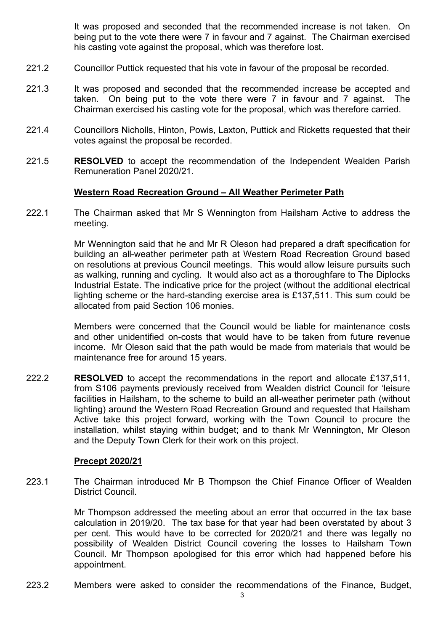It was proposed and seconded that the recommended increase is not taken. On being put to the vote there were 7 in favour and 7 against. The Chairman exercised his casting vote against the proposal, which was therefore lost.

- 221.2 Councillor Puttick requested that his vote in favour of the proposal be recorded.
- 221.3 It was proposed and seconded that the recommended increase be accepted and taken. On being put to the vote there were 7 in favour and 7 against. The Chairman exercised his casting vote for the proposal, which was therefore carried.
- 221.4 Councillors Nicholls, Hinton, Powis, Laxton, Puttick and Ricketts requested that their votes against the proposal be recorded.
- 221.5 **RESOLVED** to accept the recommendation of the Independent Wealden Parish Remuneration Panel 2020/21.

### **Western Road Recreation Ground – All Weather Perimeter Path**

222.1 The Chairman asked that Mr S Wennington from Hailsham Active to address the meeting.

> Mr Wennington said that he and Mr R Oleson had prepared a draft specification for building an all-weather perimeter path at Western Road Recreation Ground based on resolutions at previous Council meetings. This would allow leisure pursuits such as walking, running and cycling. It would also act as a thoroughfare to The Diplocks Industrial Estate. The indicative price for the project (without the additional electrical lighting scheme or the hard-standing exercise area is £137,511. This sum could be allocated from paid Section 106 monies.

> Members were concerned that the Council would be liable for maintenance costs and other unidentified on-costs that would have to be taken from future revenue income. Mr Oleson said that the path would be made from materials that would be maintenance free for around 15 years.

222.2 **RESOLVED** to accept the recommendations in the report and allocate £137,511, from S106 payments previously received from Wealden district Council for 'leisure facilities in Hailsham, to the scheme to build an all-weather perimeter path (without lighting) around the Western Road Recreation Ground and requested that Hailsham Active take this project forward, working with the Town Council to procure the installation, whilst staying within budget; and to thank Mr Wennington, Mr Oleson and the Deputy Town Clerk for their work on this project.

#### **Precept 2020/21**

223.1 The Chairman introduced Mr B Thompson the Chief Finance Officer of Wealden District Council.

> Mr Thompson addressed the meeting about an error that occurred in the tax base calculation in 2019/20. The tax base for that year had been overstated by about 3 per cent. This would have to be corrected for 2020/21 and there was legally no possibility of Wealden District Council covering the losses to Hailsham Town Council. Mr Thompson apologised for this error which had happened before his appointment.

223.2 Members were asked to consider the recommendations of the Finance, Budget,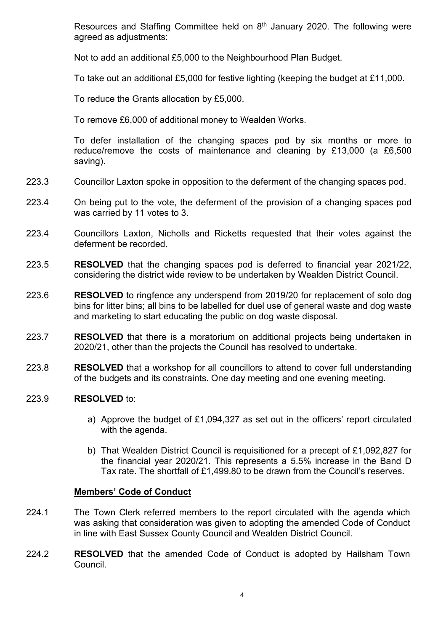Resources and Staffing Committee held on  $8<sup>th</sup>$  January 2020. The following were agreed as adjustments:

Not to add an additional £5,000 to the Neighbourhood Plan Budget.

To take out an additional £5,000 for festive lighting (keeping the budget at £11,000.

To reduce the Grants allocation by £5,000.

To remove £6,000 of additional money to Wealden Works.

To defer installation of the changing spaces pod by six months or more to reduce/remove the costs of maintenance and cleaning by £13,000 (a £6,500 saving).

- 223.3 Councillor Laxton spoke in opposition to the deferment of the changing spaces pod.
- 223.4 On being put to the vote, the deferment of the provision of a changing spaces pod was carried by 11 votes to 3.
- 223.4 Councillors Laxton, Nicholls and Ricketts requested that their votes against the deferment be recorded.
- 223.5 **RESOLVED** that the changing spaces pod is deferred to financial year 2021/22, considering the district wide review to be undertaken by Wealden District Council.
- 223.6 **RESOLVED** to ringfence any underspend from 2019/20 for replacement of solo dog bins for litter bins; all bins to be labelled for duel use of general waste and dog waste and marketing to start educating the public on dog waste disposal.
- 223.7 **RESOLVED** that there is a moratorium on additional projects being undertaken in 2020/21, other than the projects the Council has resolved to undertake.
- 223.8 **RESOLVED** that a workshop for all councillors to attend to cover full understanding of the budgets and its constraints. One day meeting and one evening meeting.

#### 223.9 **RESOLVED** to:

- a) Approve the budget of £1,094,327 as set out in the officers' report circulated with the agenda.
- b) That Wealden District Council is requisitioned for a precept of £1,092,827 for the financial year 2020/21. This represents a 5.5% increase in the Band D Tax rate. The shortfall of £1,499.80 to be drawn from the Council's reserves.

# **Members' Code of Conduct**

- 224.1 The Town Clerk referred members to the report circulated with the agenda which was asking that consideration was given to adopting the amended Code of Conduct in line with East Sussex County Council and Wealden District Council.
- 224.2 **RESOLVED** that the amended Code of Conduct is adopted by Hailsham Town Council.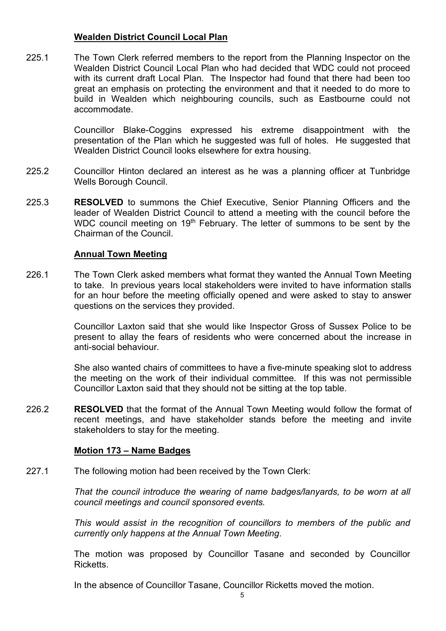# **Wealden District Council Local Plan**

225.1 The Town Clerk referred members to the report from the Planning Inspector on the Wealden District Council Local Plan who had decided that WDC could not proceed with its current draft Local Plan. The Inspector had found that there had been too great an emphasis on protecting the environment and that it needed to do more to build in Wealden which neighbouring councils, such as Eastbourne could not accommodate.

> Councillor Blake-Coggins expressed his extreme disappointment with the presentation of the Plan which he suggested was full of holes. He suggested that Wealden District Council looks elsewhere for extra housing.

- 225.2 Councillor Hinton declared an interest as he was a planning officer at Tunbridge Wells Borough Council.
- 225.3 **RESOLVED** to summons the Chief Executive, Senior Planning Officers and the leader of Wealden District Council to attend a meeting with the council before the WDC council meeting on 19<sup>th</sup> February. The letter of summons to be sent by the Chairman of the Council.

### **Annual Town Meeting**

226.1 The Town Clerk asked members what format they wanted the Annual Town Meeting to take. In previous years local stakeholders were invited to have information stalls for an hour before the meeting officially opened and were asked to stay to answer questions on the services they provided.

> Councillor Laxton said that she would like Inspector Gross of Sussex Police to be present to allay the fears of residents who were concerned about the increase in anti-social behaviour.

> She also wanted chairs of committees to have a five-minute speaking slot to address the meeting on the work of their individual committee. If this was not permissible Councillor Laxton said that they should not be sitting at the top table.

226.2 **RESOLVED** that the format of the Annual Town Meeting would follow the format of recent meetings, and have stakeholder stands before the meeting and invite stakeholders to stay for the meeting.

# **Motion 173 – Name Badges**

227.1 The following motion had been received by the Town Clerk:

> *That the council introduce the wearing of name badges/lanyards, to be worn at all council meetings and council sponsored events.*

> *This would assist in the recognition of councillors to members of the public and currently only happens at the Annual Town Meeting*.

> The motion was proposed by Councillor Tasane and seconded by Councillor **Ricketts**

In the absence of Councillor Tasane, Councillor Ricketts moved the motion.